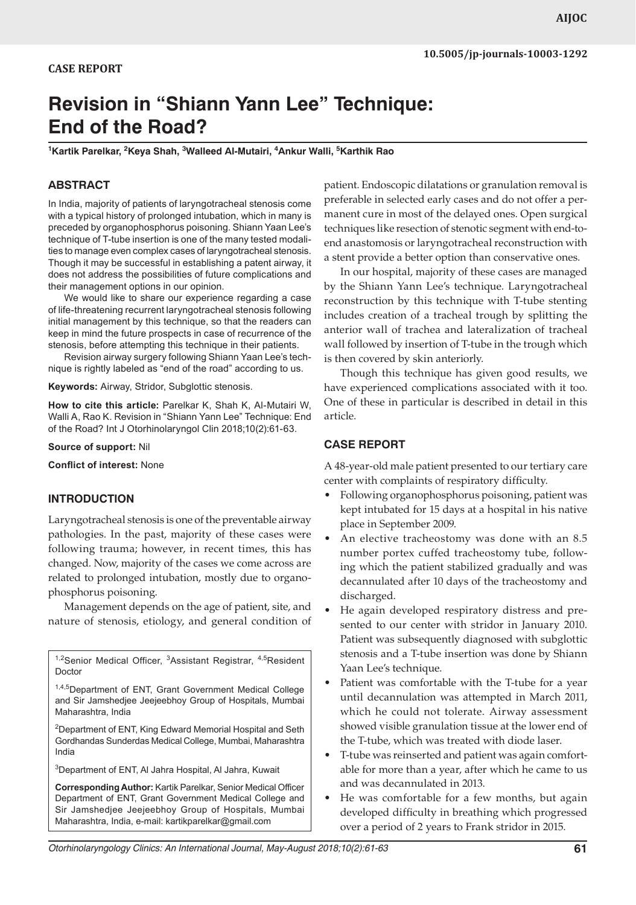# **Revision in "Shiann Yann Lee" Technique: End of the Road?**

<sup>1</sup>Kartik Parelkar, <sup>2</sup>Keya Shah, <sup>3</sup>Walleed Al-Mutairi, <sup>4</sup>Ankur Walli, <sup>5</sup>Karthik Rao

## **ABSTRACT**

In India, majority of patients of laryngotracheal stenosis come with a typical history of prolonged intubation, which in many is preceded by organophosphorus poisoning. Shiann Yaan Lee's technique of T-tube insertion is one of the many tested modalities to manage even complex cases of laryngotracheal stenosis. Though it may be successful in establishing a patent airway, it does not address the possibilities of future complications and their management options in our opinion.

We would like to share our experience regarding a case of life-threatening recurrent laryngotracheal stenosis following initial management by this technique, so that the readers can keep in mind the future prospects in case of recurrence of the stenosis, before attempting this technique in their patients.

Revision airway surgery following Shiann Yaan Lee's technique is rightly labeled as "end of the road" according to us.

**Keywords:** Airway, Stridor, Subglottic stenosis.

**How to cite this article:** Parelkar K, Shah K, Al-Mutairi W, Walli A, Rao K. Revision in "Shiann Yann Lee" Technique: End of the Road? Int J Otorhinolaryngol Clin 2018;10(2):61-63.

**Source of support:** Nil

**Conflict of interest:** None

## **INTRODUCTION**

Laryngotracheal stenosis is one of the preventable airway pathologies. In the past, majority of these cases were following trauma; however, in recent times, this has changed. Now, majority of the cases we come across are related to prolonged intubation, mostly due to organophosphorus poisoning.

Management depends on the age of patient, site, and nature of stenosis, etiology, and general condition of

<sup>1,2</sup>Senior Medical Officer, <sup>3</sup>Assistant Registrar, <sup>4,5</sup>Resident Doctor

1,4,5Department of ENT, Grant Government Medical College and Sir Jamshedjee Jeejeebhoy Group of Hospitals, Mumbai Maharashtra, India

<sup>2</sup>Department of ENT, King Edward Memorial Hospital and Seth Gordhandas Sunderdas Medical College, Mumbai, Maharashtra India

3 Department of ENT, Al Jahra Hospital, Al Jahra, Kuwait

**Corresponding Author:** Kartik Parelkar, Senior Medical Officer Department of ENT, Grant Government Medical College and Sir Jamshedjee Jeejeebhoy Group of Hospitals, Mumbai Maharashtra, India, e-mail: kartikparelkar@gmail.com

patient. Endoscopic dilatations or granulation removal is preferable in selected early cases and do not offer a permanent cure in most of the delayed ones. Open surgical techniques like resection of stenotic segment with end-toend anastomosis or laryngotracheal reconstruction with a stent provide a better option than conservative ones.

In our hospital, majority of these cases are managed by the Shiann Yann Lee's technique. Laryngotracheal reconstruction by this technique with T-tube stenting includes creation of a tracheal trough by splitting the anterior wall of trachea and lateralization of tracheal wall followed by insertion of T-tube in the trough which is then covered by skin anteriorly.

Though this technique has given good results, we have experienced complications associated with it too. One of these in particular is described in detail in this article.

## **CASE REPORT**

A 48-year-old male patient presented to our tertiary care center with complaints of respiratory difficulty.

- Following organophosphorus poisoning, patient was kept intubated for 15 days at a hospital in his native place in September 2009.
- An elective tracheostomy was done with an 8.5 number portex cuffed tracheostomy tube, following which the patient stabilized gradually and was decannulated after 10 days of the tracheostomy and discharged.
- He again developed respiratory distress and presented to our center with stridor in January 2010. Patient was subsequently diagnosed with subglottic stenosis and a T-tube insertion was done by Shiann Yaan Lee's technique.
- Patient was comfortable with the T-tube for a year until decannulation was attempted in March 2011, which he could not tolerate. Airway assessment showed visible granulation tissue at the lower end of the T-tube, which was treated with diode laser.
- T-tube was reinserted and patient was again comfortable for more than a year, after which he came to us and was decannulated in 2013.
- He was comfortable for a few months, but again developed difficulty in breathing which progressed over a period of 2 years to Frank stridor in 2015.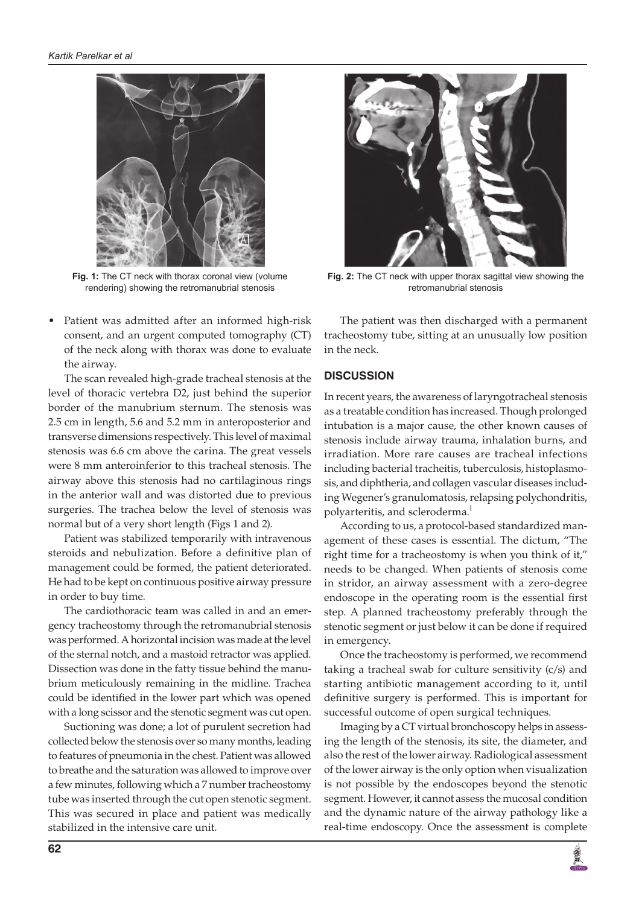

**Fig. 1:** The CT neck with thorax coronal view (volume rendering) showing the retromanubrial stenosis

Patient was admitted after an informed high-risk consent, and an urgent computed tomography (CT) of the neck along with thorax was done to evaluate the airway.

The scan revealed high-grade tracheal stenosis at the level of thoracic vertebra D2, just behind the superior border of the manubrium sternum. The stenosis was 2.5 cm in length, 5.6 and 5.2 mm in anteroposterior and transverse dimensions respectively. This level of maximal stenosis was 6.6 cm above the carina. The great vessels were 8 mm anteroinferior to this tracheal stenosis. The airway above this stenosis had no cartilaginous rings in the anterior wall and was distorted due to previous surgeries. The trachea below the level of stenosis was normal but of a very short length (Figs 1 and 2).

Patient was stabilized temporarily with intravenous steroids and nebulization. Before a definitive plan of management could be formed, the patient deteriorated. He had to be kept on continuous positive airway pressure in order to buy time.

The cardiothoracic team was called in and an emergency tracheostomy through the retromanubrial stenosis was performed. A horizontal incision was made at the level of the sternal notch, and a mastoid retractor was applied. Dissection was done in the fatty tissue behind the manubrium meticulously remaining in the midline. Trachea could be identified in the lower part which was opened with a long scissor and the stenotic segment was cut open.

Suctioning was done; a lot of purulent secretion had collected below the stenosis over so many months, leading to features of pneumonia in the chest. Patient was allowed to breathe and the saturation was allowed to improve over a few minutes, following which a 7 number tracheostomy tube was inserted through the cut open stenotic segment. This was secured in place and patient was medically stabilized in the intensive care unit.



**Fig. 2:** The CT neck with upper thorax sagittal view showing the retromanubrial stenosis

The patient was then discharged with a permanent tracheostomy tube, sitting at an unusually low position in the neck.

## **DISCUSSION**

In recent years, the awareness of laryngotracheal stenosis as a treatable condition has increased. Though prolonged intubation is a major cause, the other known causes of stenosis include airway trauma, inhalation burns, and irradiation. More rare causes are tracheal infections including bacterial tracheitis, tuberculosis, histoplasmosis, and diphtheria, and collagen vascular diseases including Wegener's granulomatosis, relapsing polychondritis, polyarteritis, and scleroderma.<sup>1</sup>

According to us, a protocol-based standardized management of these cases is essential. The dictum, "The right time for a tracheostomy is when you think of it," needs to be changed. When patients of stenosis come in stridor, an airway assessment with a zero-degree endoscope in the operating room is the essential first step. A planned tracheostomy preferably through the stenotic segment or just below it can be done if required in emergency.

Once the tracheostomy is performed, we recommend taking a tracheal swab for culture sensitivity (c/s) and starting antibiotic management according to it, until definitive surgery is performed. This is important for successful outcome of open surgical techniques.

Imaging by a CT virtual bronchoscopy helps in assessing the length of the stenosis, its site, the diameter, and also the rest of the lower airway. Radiological assessment of the lower airway is the only option when visualization is not possible by the endoscopes beyond the stenotic segment. However, it cannot assess the mucosal condition and the dynamic nature of the airway pathology like a real-time endoscopy. Once the assessment is complete